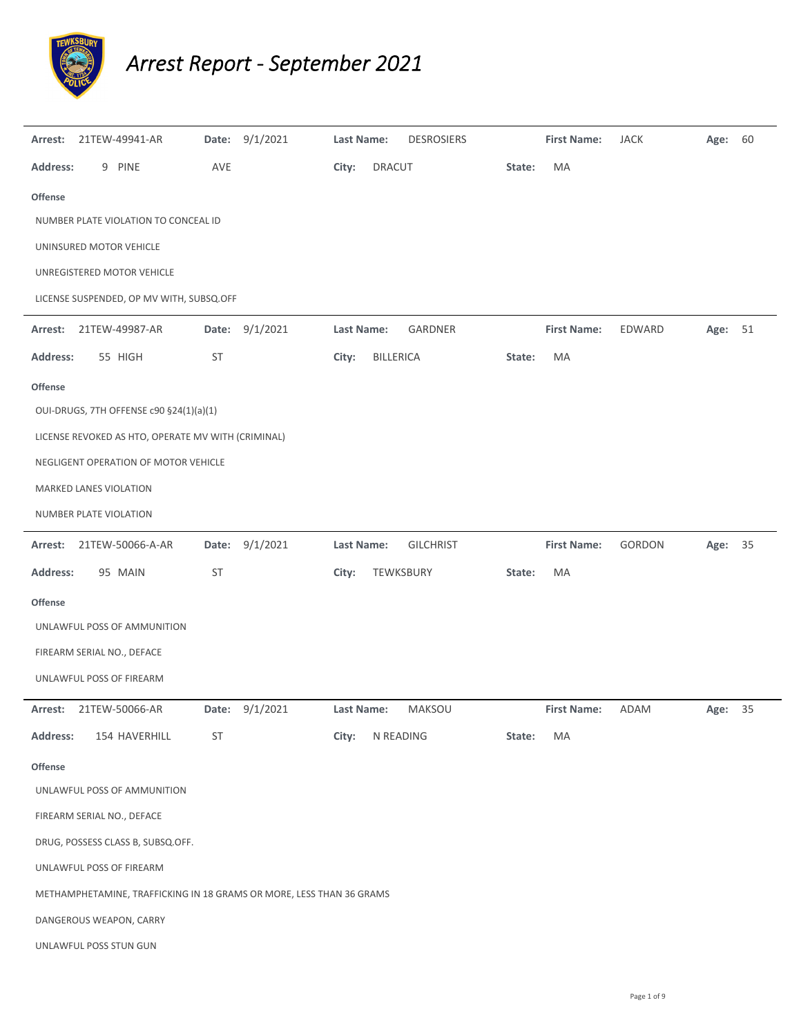

## *Arrest Report ‐ September 2021*

| Arrest:         | 21TEW-49941-AR                                                       |           | Date: 9/1/2021 | <b>Last Name:</b> | <b>DESROSIERS</b> |        | <b>First Name:</b> | <b>JACK</b>   | Age: 60 |    |
|-----------------|----------------------------------------------------------------------|-----------|----------------|-------------------|-------------------|--------|--------------------|---------------|---------|----|
| <b>Address:</b> | 9 PINE                                                               | AVE       |                | City:             | <b>DRACUT</b>     | State: | MA                 |               |         |    |
| Offense         |                                                                      |           |                |                   |                   |        |                    |               |         |    |
|                 | NUMBER PLATE VIOLATION TO CONCEAL ID                                 |           |                |                   |                   |        |                    |               |         |    |
|                 | UNINSURED MOTOR VEHICLE                                              |           |                |                   |                   |        |                    |               |         |    |
|                 | UNREGISTERED MOTOR VEHICLE                                           |           |                |                   |                   |        |                    |               |         |    |
|                 | LICENSE SUSPENDED, OP MV WITH, SUBSQ.OFF                             |           |                |                   |                   |        |                    |               |         |    |
| Arrest:         | 21TEW-49987-AR                                                       | Date:     | 9/1/2021       | <b>Last Name:</b> | GARDNER           |        | <b>First Name:</b> | EDWARD        | Age:    | 51 |
| <b>Address:</b> | 55 HIGH                                                              | <b>ST</b> |                | City:             | BILLERICA         | State: | МA                 |               |         |    |
| <b>Offense</b>  |                                                                      |           |                |                   |                   |        |                    |               |         |    |
|                 | OUI-DRUGS, 7TH OFFENSE c90 §24(1)(a)(1)                              |           |                |                   |                   |        |                    |               |         |    |
|                 | LICENSE REVOKED AS HTO, OPERATE MV WITH (CRIMINAL)                   |           |                |                   |                   |        |                    |               |         |    |
|                 | NEGLIGENT OPERATION OF MOTOR VEHICLE                                 |           |                |                   |                   |        |                    |               |         |    |
|                 | MARKED LANES VIOLATION                                               |           |                |                   |                   |        |                    |               |         |    |
|                 | NUMBER PLATE VIOLATION                                               |           |                |                   |                   |        |                    |               |         |    |
| Arrest:         | 21TEW-50066-A-AR                                                     | Date:     | 9/1/2021       | <b>Last Name:</b> | <b>GILCHRIST</b>  |        | <b>First Name:</b> | <b>GORDON</b> | Age:    | 35 |
| <b>Address:</b> | 95 MAIN                                                              | ST        |                | City:             | TEWKSBURY         | State: | МA                 |               |         |    |
| Offense         |                                                                      |           |                |                   |                   |        |                    |               |         |    |
|                 | UNLAWFUL POSS OF AMMUNITION                                          |           |                |                   |                   |        |                    |               |         |    |
|                 | FIREARM SERIAL NO., DEFACE                                           |           |                |                   |                   |        |                    |               |         |    |
|                 | UNLAWFUL POSS OF FIREARM                                             |           |                |                   |                   |        |                    |               |         |    |
|                 | Arrest: 21TEW-50066-AR                                               | Date:     | 9/1/2021       | Last Name:        | MAKSOU            |        | First Name: ADAM   |               | Age:    | 35 |
| <b>Address:</b> | 154 HAVERHILL                                                        | ST        |                | City:             | N READING         | State: | MA                 |               |         |    |
| <b>Offense</b>  |                                                                      |           |                |                   |                   |        |                    |               |         |    |
|                 | UNLAWFUL POSS OF AMMUNITION                                          |           |                |                   |                   |        |                    |               |         |    |
|                 | FIREARM SERIAL NO., DEFACE                                           |           |                |                   |                   |        |                    |               |         |    |
|                 | DRUG, POSSESS CLASS B, SUBSQ.OFF.                                    |           |                |                   |                   |        |                    |               |         |    |
|                 | UNLAWFUL POSS OF FIREARM                                             |           |                |                   |                   |        |                    |               |         |    |
|                 | METHAMPHETAMINE, TRAFFICKING IN 18 GRAMS OR MORE, LESS THAN 36 GRAMS |           |                |                   |                   |        |                    |               |         |    |
|                 | DANGEROUS WEAPON, CARRY                                              |           |                |                   |                   |        |                    |               |         |    |
|                 | UNLAWFUL POSS STUN GUN                                               |           |                |                   |                   |        |                    |               |         |    |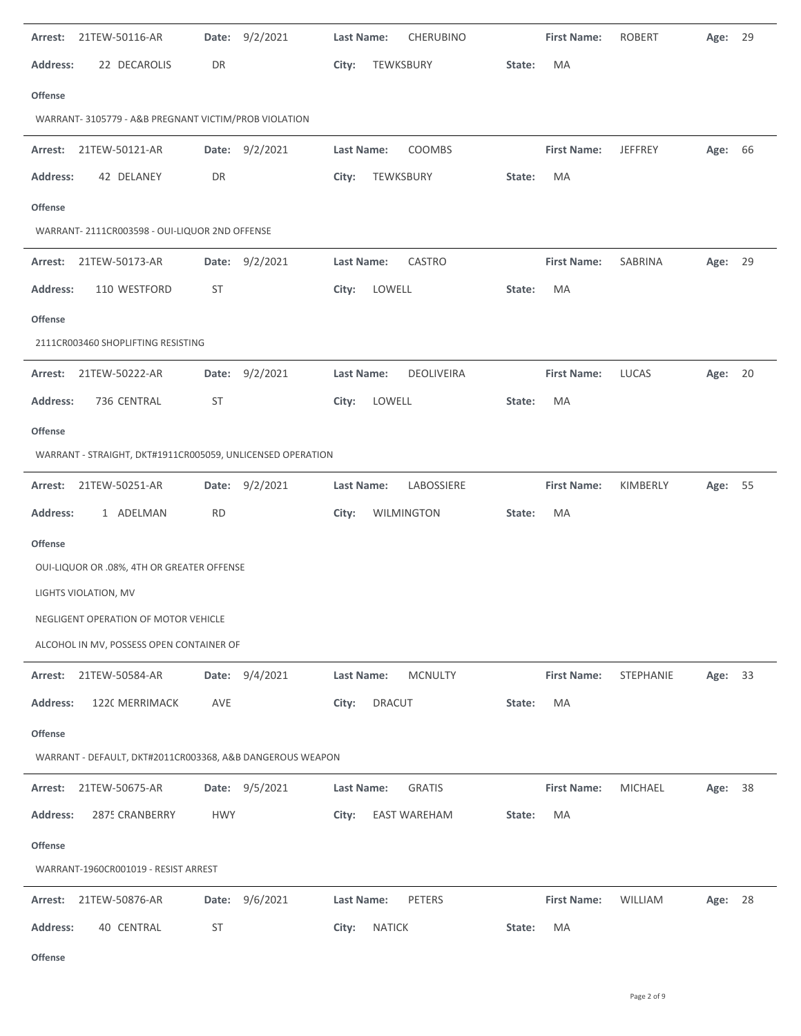| 21TEW-50116-AR<br>Arrest:                      | Date: 9/2/2021                                             | <b>CHERUBINO</b><br>Last Name: | <b>First Name:</b> | <b>ROBERT</b><br>Age: 29   |  |
|------------------------------------------------|------------------------------------------------------------|--------------------------------|--------------------|----------------------------|--|
| 22 DECAROLIS<br>Address:                       | DR                                                         | TEWKSBURY<br>City:             | MA<br>State:       |                            |  |
| Offense                                        |                                                            |                                |                    |                            |  |
|                                                | WARRANT-3105779 - A&B PREGNANT VICTIM/PROB VIOLATION       |                                |                    |                            |  |
| 21TEW-50121-AR<br>Arrest:                      | Date: 9/2/2021                                             | COOMBS<br>Last Name:           | <b>First Name:</b> | <b>JEFFREY</b><br>Age: 66  |  |
| Address:<br>42 DELANEY                         | DR                                                         | City:<br>TEWKSBURY             | State:<br>MA       |                            |  |
| Offense                                        |                                                            |                                |                    |                            |  |
| WARRANT- 2111CR003598 - OUI-LIQUOR 2ND OFFENSE |                                                            |                                |                    |                            |  |
| 21TEW-50173-AR<br>Arrest:                      | Date: 9/2/2021                                             | Last Name:<br>CASTRO           | <b>First Name:</b> | SABRINA<br>Age: 29         |  |
| <b>Address:</b><br>110 WESTFORD                | <b>ST</b>                                                  | LOWELL<br>City:                | State:<br>MA       |                            |  |
| Offense                                        |                                                            |                                |                    |                            |  |
| 2111CR003460 SHOPLIFTING RESISTING             |                                                            |                                |                    |                            |  |
| 21TEW-50222-AR<br>Arrest:                      | Date: 9/2/2021                                             | Last Name:<br>DEOLIVEIRA       | <b>First Name:</b> | <b>LUCAS</b><br>20<br>Age: |  |
| <b>Address:</b><br>736 CENTRAL                 | <b>ST</b>                                                  | LOWELL<br>City:                | MA<br>State:       |                            |  |
| <b>Offense</b>                                 |                                                            |                                |                    |                            |  |
|                                                | WARRANT - STRAIGHT, DKT#1911CR005059, UNLICENSED OPERATION |                                |                    |                            |  |
| 21TEW-50251-AR<br>Arrest:                      | Date: 9/2/2021                                             | Last Name:<br>LABOSSIERE       | <b>First Name:</b> | KIMBERLY<br>Age: 55        |  |
| <b>Address:</b><br>1 ADELMAN                   | <b>RD</b>                                                  | City:<br>WILMINGTON            | MA<br>State:       |                            |  |
| <b>Offense</b>                                 |                                                            |                                |                    |                            |  |
| OUI-LIQUOR OR .08%, 4TH OR GREATER OFFENSE     |                                                            |                                |                    |                            |  |
| LIGHTS VIOLATION, MV                           |                                                            |                                |                    |                            |  |
| NEGLIGENT OPERATION OF MOTOR VEHICLE           |                                                            |                                |                    |                            |  |
| ALCOHOL IN MV, POSSESS OPEN CONTAINER OF       |                                                            |                                |                    |                            |  |
| 21TEW-50584-AR<br>Arrest:                      | Date: 9/4/2021                                             | <b>MCNULTY</b><br>Last Name:   | <b>First Name:</b> | STEPHANIE<br>Age: 33       |  |
| <b>Address:</b><br>1220 MERRIMACK              | AVE                                                        | City:<br><b>DRACUT</b>         | State:<br>MA       |                            |  |
| <b>Offense</b>                                 |                                                            |                                |                    |                            |  |
|                                                | WARRANT - DEFAULT, DKT#2011CR003368, A&B DANGEROUS WEAPON  |                                |                    |                            |  |
| 21TEW-50675-AR<br>Arrest:                      | Date: 9/5/2021                                             | Last Name:<br><b>GRATIS</b>    | <b>First Name:</b> | MICHAEL<br>Age: 38         |  |
| <b>Address:</b><br>2875 CRANBERRY              | <b>HWY</b>                                                 | EAST WAREHAM<br>City:          | MA<br>State:       |                            |  |
| <b>Offense</b>                                 |                                                            |                                |                    |                            |  |
| WARRANT-1960CR001019 - RESIST ARREST           |                                                            |                                |                    |                            |  |
| Arrest:<br>21TEW-50876-AR                      | 9/6/2021<br>Date:                                          | Last Name:<br>PETERS           | <b>First Name:</b> | WILLIAM<br>Age: 28         |  |
| <b>Address:</b><br>40 CENTRAL                  | ST                                                         | <b>NATICK</b><br>City:         | State:<br>MA       |                            |  |
|                                                |                                                            |                                |                    |                            |  |

**Offense**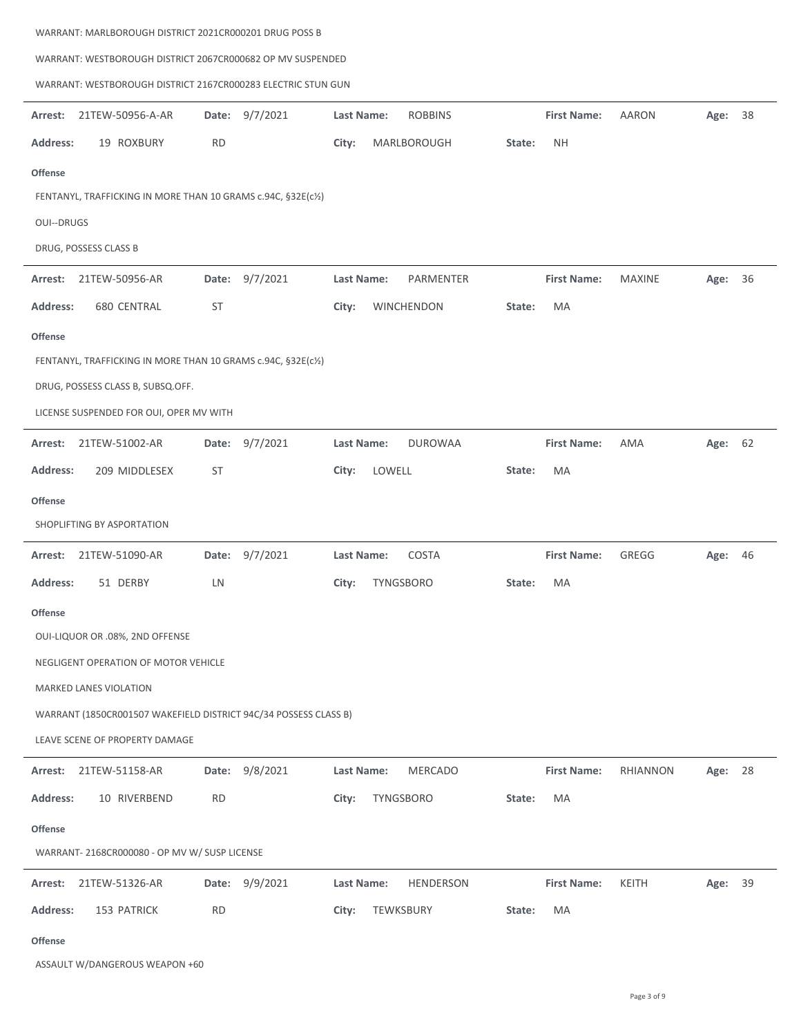|                   | WARRANT: WESTBOROUGH DISTRICT 2067CR000682 OP MV SUSPENDED       |           |                |            |                  |        |                    |               |         |    |
|-------------------|------------------------------------------------------------------|-----------|----------------|------------|------------------|--------|--------------------|---------------|---------|----|
|                   | WARRANT: WESTBOROUGH DISTRICT 2167CR000283 ELECTRIC STUN GUN     |           |                |            |                  |        |                    |               |         |    |
| Arrest:           | 21TEW-50956-A-AR                                                 |           | Date: 9/7/2021 | Last Name: | <b>ROBBINS</b>   |        | <b>First Name:</b> | <b>AARON</b>  | Age:    | 38 |
| <b>Address:</b>   | 19 ROXBURY                                                       | RD        |                | City:      | MARLBOROUGH      | State: | NΗ                 |               |         |    |
| <b>Offense</b>    |                                                                  |           |                |            |                  |        |                    |               |         |    |
|                   | FENTANYL, TRAFFICKING IN MORE THAN 10 GRAMS c.94C, §32E(c1/2)    |           |                |            |                  |        |                    |               |         |    |
| <b>OUI--DRUGS</b> |                                                                  |           |                |            |                  |        |                    |               |         |    |
|                   | DRUG, POSSESS CLASS B                                            |           |                |            |                  |        |                    |               |         |    |
| Arrest:           | 21TEW-50956-AR                                                   | Date:     | 9/7/2021       | Last Name: | PARMENTER        |        | <b>First Name:</b> | <b>MAXINE</b> | Age:    | 36 |
| <b>Address:</b>   | 680 CENTRAL                                                      | <b>ST</b> |                | City:      | WINCHENDON       | State: | MA                 |               |         |    |
| <b>Offense</b>    |                                                                  |           |                |            |                  |        |                    |               |         |    |
|                   | FENTANYL, TRAFFICKING IN MORE THAN 10 GRAMS c.94C, §32E(c1/2)    |           |                |            |                  |        |                    |               |         |    |
|                   | DRUG, POSSESS CLASS B, SUBSQ.OFF.                                |           |                |            |                  |        |                    |               |         |    |
|                   | LICENSE SUSPENDED FOR OUI, OPER MV WITH                          |           |                |            |                  |        |                    |               |         |    |
| Arrest:           | 21TEW-51002-AR                                                   | Date:     | 9/7/2021       | Last Name: | <b>DUROWAA</b>   |        | <b>First Name:</b> | AMA           | Age: 62 |    |
| <b>Address:</b>   | 209 MIDDLESEX                                                    | ST        |                | City:      | LOWELL           | State: | MA                 |               |         |    |
| <b>Offense</b>    |                                                                  |           |                |            |                  |        |                    |               |         |    |
|                   | SHOPLIFTING BY ASPORTATION                                       |           |                |            |                  |        |                    |               |         |    |
| Arrest:           | 21TEW-51090-AR                                                   |           | Date: 9/7/2021 | Last Name: | COSTA            |        | <b>First Name:</b> | GREGG         | Age: 46 |    |
| <b>Address:</b>   | 51 DERBY                                                         | LN        |                | City:      | TYNGSBORO        | State: | MA                 |               |         |    |
| <b>Offense</b>    |                                                                  |           |                |            |                  |        |                    |               |         |    |
|                   | OUI-LIQUOR OR .08%, 2ND OFFENSE                                  |           |                |            |                  |        |                    |               |         |    |
|                   | NEGLIGENT OPERATION OF MOTOR VEHICLE                             |           |                |            |                  |        |                    |               |         |    |
|                   | <b>MARKED LANES VIOLATION</b>                                    |           |                |            |                  |        |                    |               |         |    |
|                   | WARRANT (1850CR001507 WAKEFIELD DISTRICT 94C/34 POSSESS CLASS B) |           |                |            |                  |        |                    |               |         |    |
|                   | LEAVE SCENE OF PROPERTY DAMAGE                                   |           |                |            |                  |        |                    |               |         |    |
| Arrest:           | 21TEW-51158-AR                                                   | Date:     | 9/8/2021       | Last Name: | MERCADO          |        | <b>First Name:</b> | RHIANNON      | Age:    | 28 |
| <b>Address:</b>   | 10 RIVERBEND                                                     | RD        |                | City:      | TYNGSBORO        | State: | МA                 |               |         |    |
| Offense           |                                                                  |           |                |            |                  |        |                    |               |         |    |
|                   | WARRANT- 2168CR000080 - OP MV W/ SUSP LICENSE                    |           |                |            |                  |        |                    |               |         |    |
| Arrest:           | 21TEW-51326-AR                                                   | Date:     | 9/9/2021       | Last Name: | <b>HENDERSON</b> |        | <b>First Name:</b> | KEITH         | Age: 39 |    |
| <b>Address:</b>   | 153 PATRICK                                                      | <b>RD</b> |                | City:      | TEWKSBURY        | State: | МA                 |               |         |    |
|                   |                                                                  |           |                |            |                  |        |                    |               |         |    |

**Offense**

 $\overline{a}$ 

 $\mathbf{r}$ 

÷

ASSAULT W/DANGEROUS WEAPON +60

WARRANT: MARLBOROUGH DISTRICT 2021CR000201 DRUG POSS B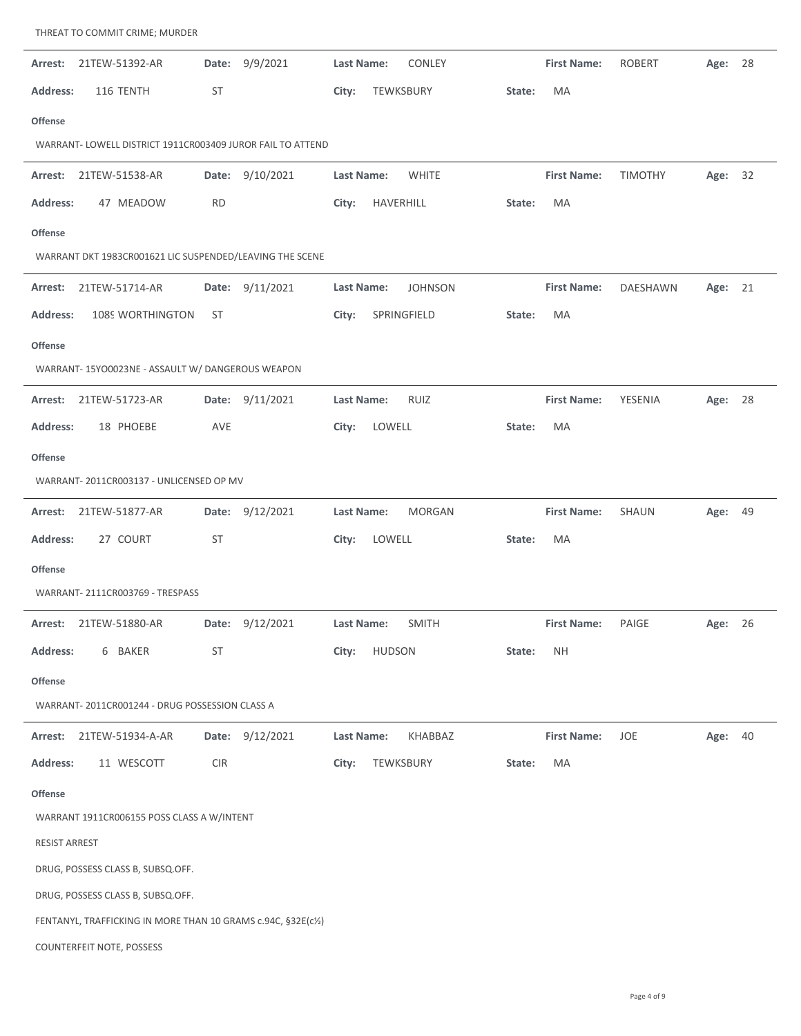| 21TEW-51392-AR<br>Arrest:                                     | 9/9/2021<br>Date:  | CONLEY<br>Last Name:         | <b>First Name:</b> | <b>ROBERT</b><br>Age:<br>28 |
|---------------------------------------------------------------|--------------------|------------------------------|--------------------|-----------------------------|
| <b>Address:</b><br>116 TENTH                                  | ST                 | TEWKSBURY<br>City:           | State:<br>MA       |                             |
| Offense                                                       |                    |                              |                    |                             |
| WARRANT- LOWELL DISTRICT 1911CR003409 JUROR FAIL TO ATTEND    |                    |                              |                    |                             |
| Arrest:<br>21TEW-51538-AR                                     | 9/10/2021<br>Date: | Last Name:<br><b>WHITE</b>   | <b>First Name:</b> | <b>TIMOTHY</b><br>Age: 32   |
| <b>Address:</b><br>47 MEADOW                                  | <b>RD</b>          | City:<br>HAVERHILL           | MA<br>State:       |                             |
| Offense                                                       |                    |                              |                    |                             |
| WARRANT DKT 1983CR001621 LIC SUSPENDED/LEAVING THE SCENE      |                    |                              |                    |                             |
| 21TEW-51714-AR<br>Arrest:                                     | Date: 9/11/2021    | <b>JOHNSON</b><br>Last Name: | <b>First Name:</b> | DAESHAWN<br>Age: 21         |
| <b>Address:</b><br>1089 WORTHINGTON                           | ST                 | City:<br>SPRINGFIELD         | MA<br>State:       |                             |
| Offense                                                       |                    |                              |                    |                             |
| WARRANT- 15YO0023NE - ASSAULT W/ DANGEROUS WEAPON             |                    |                              |                    |                             |
| 21TEW-51723-AR<br>Arrest:                                     | Date: 9/11/2021    | <b>RUIZ</b><br>Last Name:    | <b>First Name:</b> | YESENIA<br>Age: 28          |
| <b>Address:</b><br>18 PHOEBE                                  | AVE                | City:<br>LOWELL              | MA<br>State:       |                             |
| Offense                                                       |                    |                              |                    |                             |
| WARRANT-2011CR003137 - UNLICENSED OP MV                       |                    |                              |                    |                             |
| 21TEW-51877-AR<br>Arrest:                                     | Date: 9/12/2021    | <b>MORGAN</b><br>Last Name:  | <b>First Name:</b> | SHAUN<br>Age: 49            |
| <b>Address:</b><br>27 COURT                                   | ST                 | LOWELL<br>City:              | MA<br>State:       |                             |
| Offense                                                       |                    |                              |                    |                             |
| WARRANT-2111CR003769 - TRESPASS                               |                    |                              |                    |                             |
| 21TEW-51880-AR<br>Arrest:                                     | Date: 9/12/2021    | <b>SMITH</b><br>Last Name:   | <b>First Name:</b> | PAIGE<br>26<br>Age:         |
| <b>Address:</b><br>6 BAKER                                    | ST                 | City:<br><b>HUDSON</b>       | State:<br>NΗ       |                             |
| <b>Offense</b>                                                |                    |                              |                    |                             |
| WARRANT-2011CR001244 - DRUG POSSESSION CLASS A                |                    |                              |                    |                             |
| 21TEW-51934-A-AR<br>Arrest:                                   | Date: 9/12/2021    | KHABBAZ<br>Last Name:        | <b>First Name:</b> | JOE<br>Age: 40              |
| 11 WESCOTT<br>Address:                                        | <b>CIR</b>         | TEWKSBURY<br>City:           | MA<br>State:       |                             |
| <b>Offense</b>                                                |                    |                              |                    |                             |
| WARRANT 1911CR006155 POSS CLASS A W/INTENT                    |                    |                              |                    |                             |
| <b>RESIST ARREST</b>                                          |                    |                              |                    |                             |
| DRUG, POSSESS CLASS B, SUBSQ.OFF.                             |                    |                              |                    |                             |
| DRUG, POSSESS CLASS B, SUBSQ.OFF.                             |                    |                              |                    |                             |
| FENTANYL, TRAFFICKING IN MORE THAN 10 GRAMS c.94C, §32E(c1/2) |                    |                              |                    |                             |
| COUNTERFEIT NOTE, POSSESS                                     |                    |                              |                    |                             |

THREAT TO COMMIT CRIME; MURDER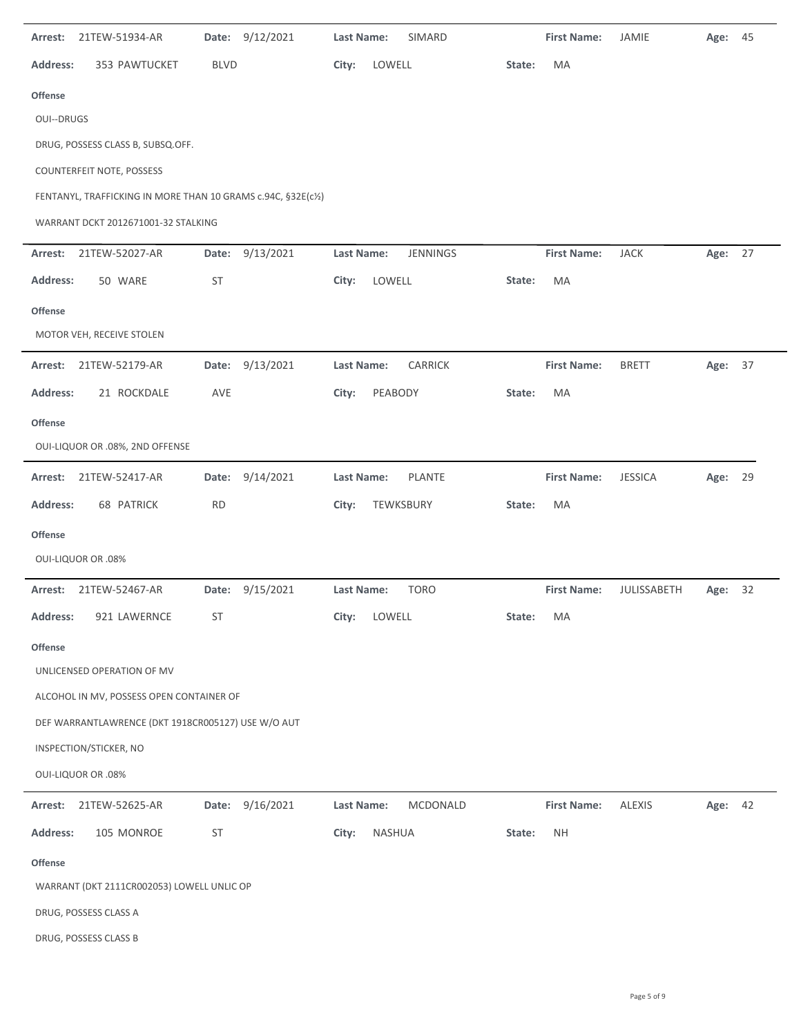| Arrest:           | 21TEW-51934-AR                                                |             | Date: 9/12/2021 | Last Name:        |         | SIMARD        |        | <b>First Name:</b> | JAMIE          | Age: 45 |  |
|-------------------|---------------------------------------------------------------|-------------|-----------------|-------------------|---------|---------------|--------|--------------------|----------------|---------|--|
| <b>Address:</b>   | 353 PAWTUCKET                                                 | <b>BLVD</b> |                 | City:             | LOWELL  |               | State: | MA                 |                |         |  |
| <b>Offense</b>    |                                                               |             |                 |                   |         |               |        |                    |                |         |  |
| <b>OUI--DRUGS</b> |                                                               |             |                 |                   |         |               |        |                    |                |         |  |
|                   | DRUG, POSSESS CLASS B, SUBSQ.OFF.                             |             |                 |                   |         |               |        |                    |                |         |  |
|                   | COUNTERFEIT NOTE, POSSESS                                     |             |                 |                   |         |               |        |                    |                |         |  |
|                   | FENTANYL, TRAFFICKING IN MORE THAN 10 GRAMS c.94C, §32E(c1/2) |             |                 |                   |         |               |        |                    |                |         |  |
|                   | WARRANT DCKT 2012671001-32 STALKING                           |             |                 |                   |         |               |        |                    |                |         |  |
| Arrest:           | 21TEW-52027-AR                                                | Date:       | 9/13/2021       | Last Name:        |         | JENNINGS      |        | <b>First Name:</b> | <b>JACK</b>    | Age: 27 |  |
| <b>Address:</b>   | 50 WARE                                                       | ST          |                 | City:             | LOWELL  |               | State: | MA                 |                |         |  |
| <b>Offense</b>    |                                                               |             |                 |                   |         |               |        |                    |                |         |  |
|                   | MOTOR VEH, RECEIVE STOLEN                                     |             |                 |                   |         |               |        |                    |                |         |  |
| Arrest:           | 21TEW-52179-AR                                                |             | Date: 9/13/2021 | Last Name:        |         | CARRICK       |        | <b>First Name:</b> | <b>BRETT</b>   | Age: 37 |  |
| <b>Address:</b>   | 21 ROCKDALE                                                   | AVE         |                 | City:             | PEABODY |               | State: | MA                 |                |         |  |
| <b>Offense</b>    |                                                               |             |                 |                   |         |               |        |                    |                |         |  |
|                   | OUI-LIQUOR OR .08%, 2ND OFFENSE                               |             |                 |                   |         |               |        |                    |                |         |  |
| Arrest:           | 21TEW-52417-AR                                                | Date:       | 9/14/2021       | Last Name:        |         | <b>PLANTE</b> |        | <b>First Name:</b> | <b>JESSICA</b> | Age: 29 |  |
| <b>Address:</b>   | <b>68 PATRICK</b>                                             | <b>RD</b>   |                 | City:             |         | TEWKSBURY     | State: | MA                 |                |         |  |
| <b>Offense</b>    |                                                               |             |                 |                   |         |               |        |                    |                |         |  |
|                   | <b>OUI-LIQUOR OR .08%</b>                                     |             |                 |                   |         |               |        |                    |                |         |  |
| Arrest:           | 21TEW-52467-AR                                                | Date:       | 9/15/2021       | <b>Last Name:</b> |         | <b>TORO</b>   |        | <b>First Name:</b> | JULISSABETH    | Age: 32 |  |
| Address:          | 921 LAWERNCE                                                  | ST          |                 | City:             | LOWELL  |               | State: | MA                 |                |         |  |
| <b>Offense</b>    |                                                               |             |                 |                   |         |               |        |                    |                |         |  |
|                   | UNLICENSED OPERATION OF MV                                    |             |                 |                   |         |               |        |                    |                |         |  |
|                   | ALCOHOL IN MV, POSSESS OPEN CONTAINER OF                      |             |                 |                   |         |               |        |                    |                |         |  |
|                   | DEF WARRANTLAWRENCE (DKT 1918CR005127) USE W/O AUT            |             |                 |                   |         |               |        |                    |                |         |  |
|                   | INSPECTION/STICKER, NO                                        |             |                 |                   |         |               |        |                    |                |         |  |
|                   | <b>OUI-LIQUOR OR .08%</b>                                     |             |                 |                   |         |               |        |                    |                |         |  |
| Arrest:           | 21TEW-52625-AR                                                | Date:       | 9/16/2021       | Last Name:        |         | MCDONALD      |        | <b>First Name:</b> | <b>ALEXIS</b>  | Age: 42 |  |
| <b>Address:</b>   | 105 MONROE                                                    | ST          |                 | City:             | NASHUA  |               | State: | <b>NH</b>          |                |         |  |
| Offense           |                                                               |             |                 |                   |         |               |        |                    |                |         |  |
|                   | WARRANT (DKT 2111CR002053) LOWELL UNLIC OP                    |             |                 |                   |         |               |        |                    |                |         |  |
|                   | DRUG, POSSESS CLASS A                                         |             |                 |                   |         |               |        |                    |                |         |  |
|                   | DRUG, POSSESS CLASS B                                         |             |                 |                   |         |               |        |                    |                |         |  |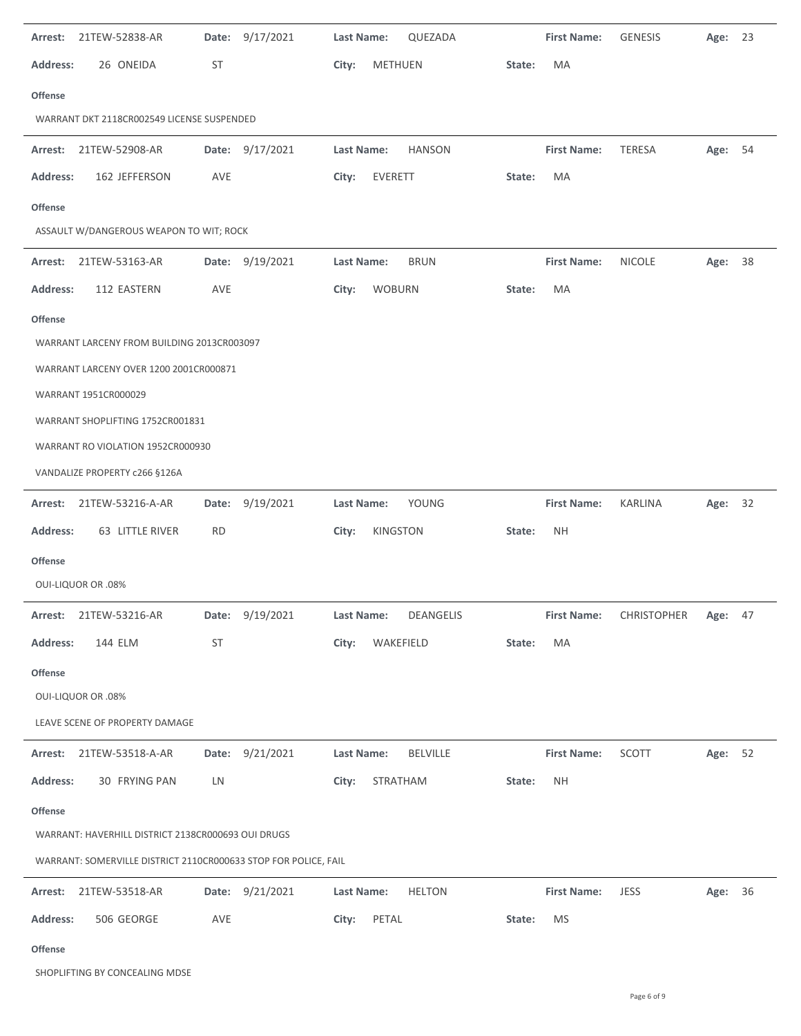| Arrest:         | 21TEW-52838-AR                                                  | Date:     | 9/17/2021       | Last Name: |                   | QUEZADA         |        | <b>First Name:</b> | <b>GENESIS</b>                  | Age:    | 23 |
|-----------------|-----------------------------------------------------------------|-----------|-----------------|------------|-------------------|-----------------|--------|--------------------|---------------------------------|---------|----|
| <b>Address:</b> | 26 ONEIDA                                                       | ST        |                 | City:      | <b>METHUEN</b>    |                 | State: | MA                 |                                 |         |    |
| <b>Offense</b>  |                                                                 |           |                 |            |                   |                 |        |                    |                                 |         |    |
|                 | WARRANT DKT 2118CR002549 LICENSE SUSPENDED                      |           |                 |            |                   |                 |        |                    |                                 |         |    |
|                 | Arrest: 21TEW-52908-AR                                          |           | Date: 9/17/2021 | Last Name: |                   | <b>HANSON</b>   |        | <b>First Name:</b> | <b>TERESA</b>                   | Age: 54 |    |
| <b>Address:</b> | 162 JEFFERSON                                                   | AVE       |                 | City:      | <b>EVERETT</b>    |                 | State: | MA                 |                                 |         |    |
| <b>Offense</b>  |                                                                 |           |                 |            |                   |                 |        |                    |                                 |         |    |
|                 | ASSAULT W/DANGEROUS WEAPON TO WIT; ROCK                         |           |                 |            |                   |                 |        |                    |                                 |         |    |
| Arrest:         | 21TEW-53163-AR                                                  |           | Date: 9/19/2021 | Last Name: |                   | <b>BRUN</b>     |        | <b>First Name:</b> | <b>NICOLE</b>                   | Age: 38 |    |
| <b>Address:</b> | 112 EASTERN                                                     | AVE       |                 | City:      | <b>WOBURN</b>     |                 | State: | MA                 |                                 |         |    |
| <b>Offense</b>  |                                                                 |           |                 |            |                   |                 |        |                    |                                 |         |    |
|                 | WARRANT LARCENY FROM BUILDING 2013CR003097                      |           |                 |            |                   |                 |        |                    |                                 |         |    |
|                 | WARRANT LARCENY OVER 1200 2001CR000871                          |           |                 |            |                   |                 |        |                    |                                 |         |    |
|                 | WARRANT 1951CR000029                                            |           |                 |            |                   |                 |        |                    |                                 |         |    |
|                 | WARRANT SHOPLIFTING 1752CR001831                                |           |                 |            |                   |                 |        |                    |                                 |         |    |
|                 | WARRANT RO VIOLATION 1952CR000930                               |           |                 |            |                   |                 |        |                    |                                 |         |    |
|                 | VANDALIZE PROPERTY c266 §126A                                   |           |                 |            |                   |                 |        |                    |                                 |         |    |
| Arrest:         | 21TEW-53216-A-AR                                                |           | Date: 9/19/2021 | Last Name: |                   | YOUNG           |        | <b>First Name:</b> | <b>KARLINA</b>                  | Age: 32 |    |
| <b>Address:</b> | 63 LITTLE RIVER                                                 | <b>RD</b> |                 | City:      | KINGSTON          |                 | State: | <b>NH</b>          |                                 |         |    |
| Offense         |                                                                 |           |                 |            |                   |                 |        |                    |                                 |         |    |
|                 | <b>OUI-LIQUOR OR .08%</b>                                       |           |                 |            |                   |                 |        |                    |                                 |         |    |
|                 | Arrest: 21TEW-53216-AR                                          |           | Date: 9/19/2021 |            | <b>Last Name:</b> | DEANGELIS       |        |                    | First Name: CHRISTOPHER Age: 47 |         |    |
| <b>Address:</b> | 144 ELM                                                         | ST        |                 | City:      | WAKEFIELD         |                 | State: | MA                 |                                 |         |    |
| <b>Offense</b>  |                                                                 |           |                 |            |                   |                 |        |                    |                                 |         |    |
|                 | <b>OUI-LIQUOR OR .08%</b>                                       |           |                 |            |                   |                 |        |                    |                                 |         |    |
|                 | LEAVE SCENE OF PROPERTY DAMAGE                                  |           |                 |            |                   |                 |        |                    |                                 |         |    |
|                 | Arrest: 21TEW-53518-A-AR                                        |           | Date: 9/21/2021 | Last Name: |                   | <b>BELVILLE</b> |        | <b>First Name:</b> | SCOTT                           | Age: 52 |    |
| <b>Address:</b> | 30 FRYING PAN                                                   | LN        |                 | City:      | STRATHAM          |                 | State: | <b>NH</b>          |                                 |         |    |
| <b>Offense</b>  |                                                                 |           |                 |            |                   |                 |        |                    |                                 |         |    |
|                 | WARRANT: HAVERHILL DISTRICT 2138CR000693 OUI DRUGS              |           |                 |            |                   |                 |        |                    |                                 |         |    |
|                 | WARRANT: SOMERVILLE DISTRICT 2110CR000633 STOP FOR POLICE, FAIL |           |                 |            |                   |                 |        |                    |                                 |         |    |
|                 | Arrest: 21TEW-53518-AR                                          |           | Date: 9/21/2021 | Last Name: |                   | <b>HELTON</b>   |        | <b>First Name:</b> | <b>JESS</b>                     | Age: 36 |    |
| <b>Address:</b> | 506 GEORGE                                                      | AVE       |                 | City:      | PETAL             |                 | State: | <b>MS</b>          |                                 |         |    |
|                 |                                                                 |           |                 |            |                   |                 |        |                    |                                 |         |    |
| Offense         |                                                                 |           |                 |            |                   |                 |        |                    |                                 |         |    |

SHOPLIFTING BY CONCEALING MDSE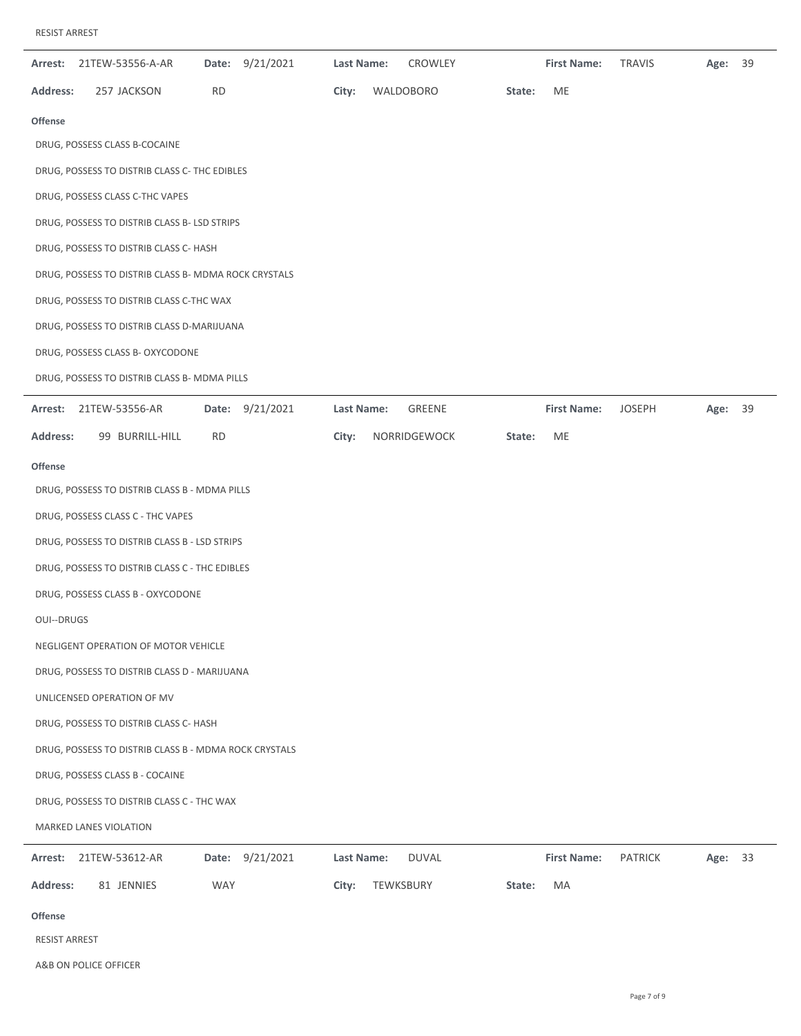| 9/21/2021<br>21TEW-53556-A-AR<br>Date:<br>Arrest:     | Last Name:<br>CROWLEY           | <b>First Name:</b><br><b>TRAVIS</b><br>39<br>Age: |
|-------------------------------------------------------|---------------------------------|---------------------------------------------------|
| <b>RD</b><br><b>Address:</b><br>257 JACKSON           | City:<br>WALDOBORO<br>State:    | ME                                                |
| <b>Offense</b>                                        |                                 |                                                   |
| DRUG, POSSESS CLASS B-COCAINE                         |                                 |                                                   |
| DRUG, POSSESS TO DISTRIB CLASS C- THC EDIBLES         |                                 |                                                   |
| DRUG, POSSESS CLASS C-THC VAPES                       |                                 |                                                   |
| DRUG, POSSESS TO DISTRIB CLASS B- LSD STRIPS          |                                 |                                                   |
| DRUG, POSSESS TO DISTRIB CLASS C- HASH                |                                 |                                                   |
| DRUG, POSSESS TO DISTRIB CLASS B- MDMA ROCK CRYSTALS  |                                 |                                                   |
| DRUG, POSSESS TO DISTRIB CLASS C-THC WAX              |                                 |                                                   |
| DRUG, POSSESS TO DISTRIB CLASS D-MARIJUANA            |                                 |                                                   |
| DRUG, POSSESS CLASS B- OXYCODONE                      |                                 |                                                   |
| DRUG, POSSESS TO DISTRIB CLASS B- MDMA PILLS          |                                 |                                                   |
| Date: 9/21/2021<br>Arrest:<br>21TEW-53556-AR          | Last Name:<br>GREENE            | <b>First Name:</b><br><b>JOSEPH</b><br>Age: 39    |
| Address:<br>99 BURRILL-HILL<br><b>RD</b>              | City:<br>NORRIDGEWOCK<br>State: | ME                                                |
| <b>Offense</b>                                        |                                 |                                                   |
| DRUG, POSSESS TO DISTRIB CLASS B - MDMA PILLS         |                                 |                                                   |
| DRUG, POSSESS CLASS C - THC VAPES                     |                                 |                                                   |
| DRUG, POSSESS TO DISTRIB CLASS B - LSD STRIPS         |                                 |                                                   |
| DRUG, POSSESS TO DISTRIB CLASS C - THC EDIBLES        |                                 |                                                   |
| DRUG, POSSESS CLASS B - OXYCODONE                     |                                 |                                                   |
| <b>OUI--DRUGS</b>                                     |                                 |                                                   |
| NEGLIGENT OPERATION OF MOTOR VEHICLE                  |                                 |                                                   |
| DRUG, POSSESS TO DISTRIB CLASS D - MARIJUANA          |                                 |                                                   |
| UNLICENSED OPERATION OF MV                            |                                 |                                                   |
| DRUG, POSSESS TO DISTRIB CLASS C- HASH                |                                 |                                                   |
| DRUG, POSSESS TO DISTRIB CLASS B - MDMA ROCK CRYSTALS |                                 |                                                   |
| DRUG, POSSESS CLASS B - COCAINE                       |                                 |                                                   |
| DRUG, POSSESS TO DISTRIB CLASS C - THC WAX            |                                 |                                                   |
| MARKED LANES VIOLATION                                |                                 |                                                   |
| Date: 9/21/2021<br>21TEW-53612-AR<br>Arrest:          | Last Name:<br><b>DUVAL</b>      | <b>First Name:</b><br><b>PATRICK</b><br>Age: 33   |
| <b>Address:</b><br>81 JENNIES<br><b>WAY</b>           | City:<br>TEWKSBURY<br>State:    | MA                                                |
| <b>Offense</b>                                        |                                 |                                                   |
| RESIST ARREST                                         |                                 |                                                   |

A&B ON POLICE OFFICER

 $\overline{\phantom{0}}$ 

-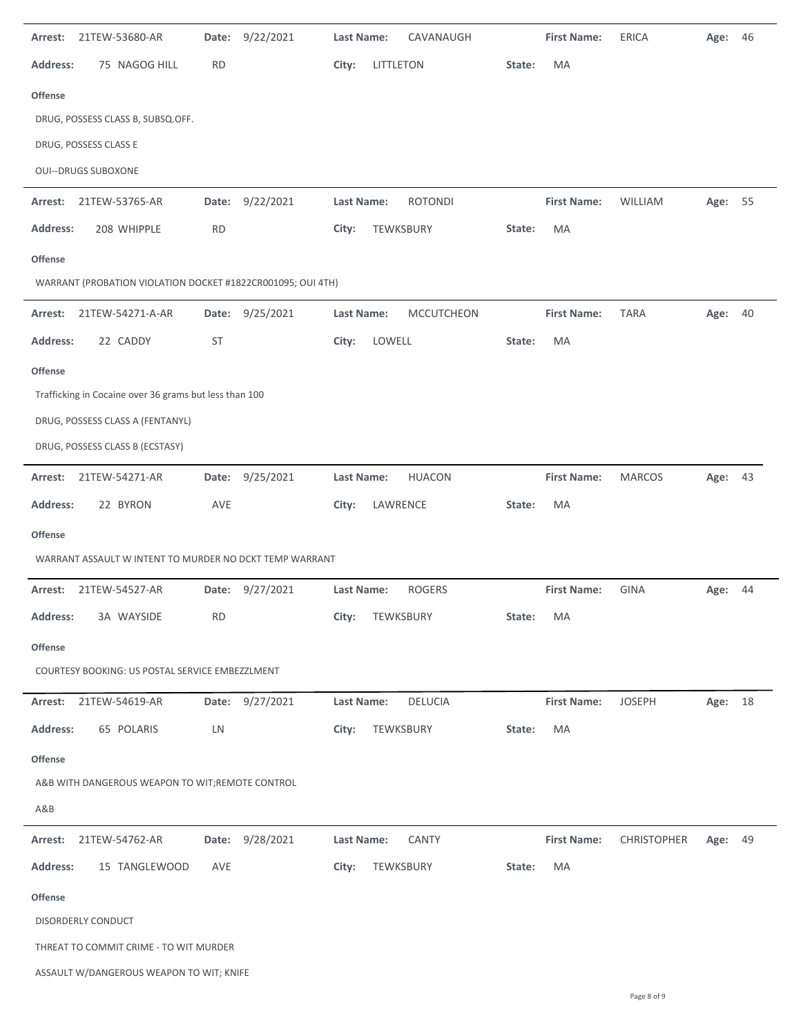| Arrest:         | 21TEW-53680-AR                                              | Date:     | 9/22/2021       | <b>Last Name:</b> |           | CAVANAUGH         |        | <b>First Name:</b> | <b>ERICA</b>       | Age:    | 46 |
|-----------------|-------------------------------------------------------------|-----------|-----------------|-------------------|-----------|-------------------|--------|--------------------|--------------------|---------|----|
| <b>Address:</b> | 75 NAGOG HILL                                               | <b>RD</b> |                 | City:             | LITTLETON |                   | State: | MA                 |                    |         |    |
| <b>Offense</b>  |                                                             |           |                 |                   |           |                   |        |                    |                    |         |    |
|                 | DRUG, POSSESS CLASS B, SUBSQ.OFF.                           |           |                 |                   |           |                   |        |                    |                    |         |    |
|                 | DRUG, POSSESS CLASS E                                       |           |                 |                   |           |                   |        |                    |                    |         |    |
|                 | <b>OUI--DRUGS SUBOXONE</b>                                  |           |                 |                   |           |                   |        |                    |                    |         |    |
| Arrest:         | 21TEW-53765-AR                                              | Date:     | 9/22/2021       | Last Name:        |           | <b>ROTONDI</b>    |        | <b>First Name:</b> | WILLIAM            | Age:    | 55 |
| <b>Address:</b> | 208 WHIPPLE                                                 | <b>RD</b> |                 | City:             | TEWKSBURY |                   | State: | MA                 |                    |         |    |
| <b>Offense</b>  |                                                             |           |                 |                   |           |                   |        |                    |                    |         |    |
|                 | WARRANT (PROBATION VIOLATION DOCKET #1822CR001095; OUI 4TH) |           |                 |                   |           |                   |        |                    |                    |         |    |
| Arrest:         | 21TEW-54271-A-AR                                            | Date:     | 9/25/2021       | Last Name:        |           | <b>MCCUTCHEON</b> |        | <b>First Name:</b> | <b>TARA</b>        | Age:    | 40 |
| <b>Address:</b> | 22 CADDY                                                    | <b>ST</b> |                 | City:             | LOWELL    |                   | State: | MA                 |                    |         |    |
| <b>Offense</b>  |                                                             |           |                 |                   |           |                   |        |                    |                    |         |    |
|                 | Trafficking in Cocaine over 36 grams but less than 100      |           |                 |                   |           |                   |        |                    |                    |         |    |
|                 | DRUG, POSSESS CLASS A (FENTANYL)                            |           |                 |                   |           |                   |        |                    |                    |         |    |
|                 | DRUG, POSSESS CLASS B (ECSTASY)                             |           |                 |                   |           |                   |        |                    |                    |         |    |
| Arrest:         | 21TEW-54271-AR                                              |           | Date: 9/25/2021 | Last Name:        |           | <b>HUACON</b>     |        | <b>First Name:</b> | <b>MARCOS</b>      | Age:    | 43 |
| <b>Address:</b> | 22 BYRON                                                    | AVE       |                 | City:             | LAWRENCE  |                   | State: | MA                 |                    |         |    |
| <b>Offense</b>  |                                                             |           |                 |                   |           |                   |        |                    |                    |         |    |
|                 | WARRANT ASSAULT W INTENT TO MURDER NO DCKT TEMP WARRANT     |           |                 |                   |           |                   |        |                    |                    |         |    |
| Arrest:         | 21TEW-54527-AR                                              | Date:     | 9/27/2021       | <b>Last Name:</b> |           | <b>ROGERS</b>     |        | <b>First Name:</b> | <b>GINA</b>        | Age:    | 44 |
| Address:        | 3A WAYSIDE                                                  | <b>RD</b> |                 | City:             | TEWKSBURY |                   | State: | MA                 |                    |         |    |
| <b>Offense</b>  |                                                             |           |                 |                   |           |                   |        |                    |                    |         |    |
|                 | COURTESY BOOKING: US POSTAL SERVICE EMBEZZLMENT             |           |                 |                   |           |                   |        |                    |                    |         |    |
| Arrest:         | 21TEW-54619-AR                                              |           | Date: 9/27/2021 | Last Name:        |           | <b>DELUCIA</b>    |        | <b>First Name:</b> | <b>JOSEPH</b>      | Age: 18 |    |
| <b>Address:</b> | 65 POLARIS                                                  | LN        |                 | City:             | TEWKSBURY |                   | State: | MA                 |                    |         |    |
| <b>Offense</b>  |                                                             |           |                 |                   |           |                   |        |                    |                    |         |    |
|                 | A&B WITH DANGEROUS WEAPON TO WIT;REMOTE CONTROL             |           |                 |                   |           |                   |        |                    |                    |         |    |
| A&B             |                                                             |           |                 |                   |           |                   |        |                    |                    |         |    |
| Arrest:         | 21TEW-54762-AR                                              | Date:     | 9/28/2021       | Last Name:        |           | <b>CANTY</b>      |        | <b>First Name:</b> | <b>CHRISTOPHER</b> | Age:    | 49 |
| <b>Address:</b> | 15 TANGLEWOOD                                               | AVE       |                 | City:             | TEWKSBURY |                   | State: | MA                 |                    |         |    |
| <b>Offense</b>  |                                                             |           |                 |                   |           |                   |        |                    |                    |         |    |
|                 | DISORDERLY CONDUCT                                          |           |                 |                   |           |                   |        |                    |                    |         |    |
|                 | THREAT TO COMMIT CRIME - TO WIT MURDER                      |           |                 |                   |           |                   |        |                    |                    |         |    |
|                 | ASSAULT W/DANGEROUS WEAPON TO WIT; KNIFE                    |           |                 |                   |           |                   |        |                    |                    |         |    |